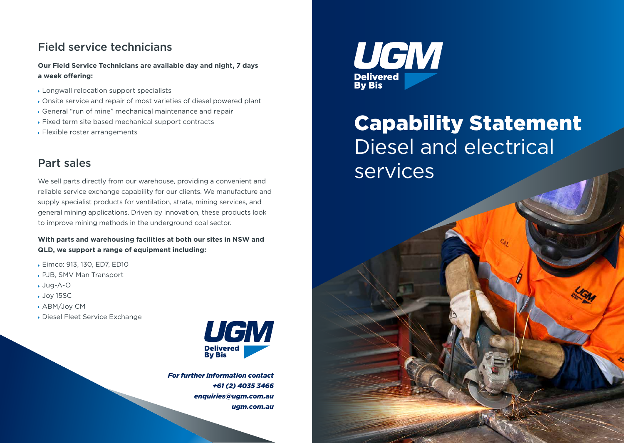### Field service technicians

**Our Field Service Technicians are available day and night, 7 days a week offering:**

- Longwall relocation support specialists
- Onsite service and repair of most varieties of diesel powered plant
- General "run of mine" mechanical maintenance and repair
- Fixed term site based mechanical support contracts
- Flexible roster arrangements

### Part sales

We sell parts directly from our warehouse, providing a convenient and reliable service exchange capability for our clients. We manufacture and supply specialist products for ventilation, strata, mining services, and general mining applications. Driven by innovation, these products look to improve mining methods in the underground coal sector.

**With parts and warehousing facilities at both our sites in NSW and QLD, we support a range of equipment including:**

- Eimco: 913, 130, ED7, ED10
- PJB, SMV Man Transport
- Jug-A-O
- Joy 15SC
- ABM/Joy CM
- Diesel Fleet Service Exchange



*For further information contact +61 (2) 4035 3466 enquiries@ugm.com.au ugm.com.au*



## Capability Statement Diesel and electrical services